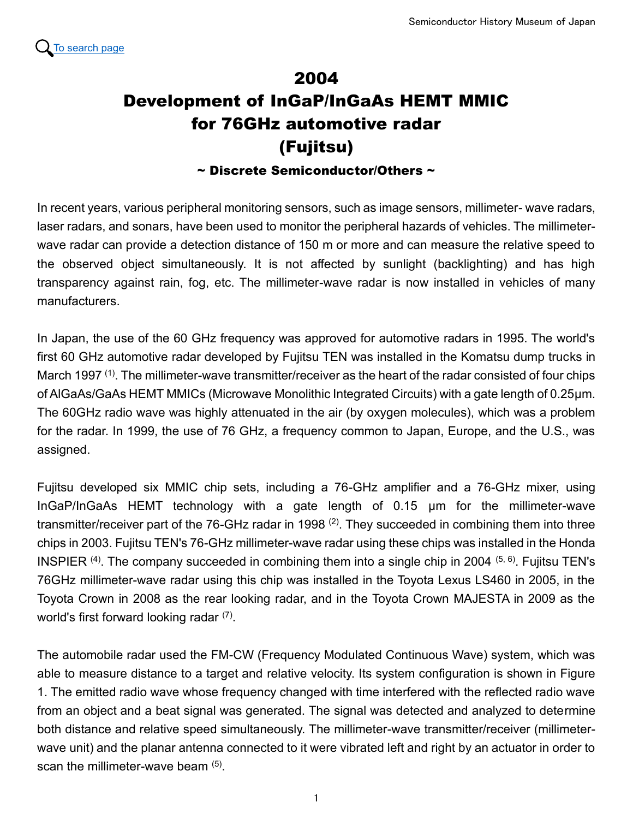

## 2004 Development of InGaP/InGaAs HEMT MMIC for 76GHz automotive radar (Fujitsu)

 $\sim$  Discrete Semiconductor/Others  $\sim$ 

In recent years, various peripheral monitoring sensors, such as image sensors, millimeter- wave radars, laser radars, and sonars, have been used to monitor the peripheral hazards of vehicles. The millimeterwave radar can provide a detection distance of 150 m or more and can measure the relative speed to the observed object simultaneously. It is not affected by sunlight (backlighting) and has high transparency against rain, fog, etc. The millimeter-wave radar is now installed in vehicles of many manufacturers.

In Japan, the use of the 60 GHz frequency was approved for automotive radars in 1995. The world's first 60 GHz automotive radar developed by Fujitsu TEN was installed in the Komatsu dump trucks in March 1997 <sup>(1)</sup>. The millimeter-wave transmitter/receiver as the heart of the radar consisted of four chips of AlGaAs/GaAs HEMT MMICs (Microwave Monolithic Integrated Circuits) with a gate length of 0.25μm. The 60GHz radio wave was highly attenuated in the air (by oxygen molecules), which was a problem for the radar. In 1999, the use of 76 GHz, a frequency common to Japan, Europe, and the U.S., was assigned.

Fujitsu developed six MMIC chip sets, including a 76-GHz amplifier and a 76-GHz mixer, using InGaP/InGaAs HEMT technology with a gate length of 0.15 μm for the millimeter-wave transmitter/receiver part of the 76-GHz radar in 1998  $^{(2)}$ . They succeeded in combining them into three chips in 2003. Fujitsu TEN's 76-GHz millimeter-wave radar using these chips was installed in the Honda INSPIER  $^{(4)}$ . The company succeeded in combining them into a single chip in 2004  $^{(5, 6)}$ . Fujitsu TEN's 76GHz millimeter-wave radar using this chip was installed in the Toyota Lexus LS460 in 2005, in the Toyota Crown in 2008 as the rear looking radar, and in the Toyota Crown MAJESTA in 2009 as the world's first forward looking radar  $(7)$ .

The automobile radar used the FM-CW (Frequency Modulated Continuous Wave) system, which was able to measure distance to a target and relative velocity. Its system configuration is shown in Figure 1. The emitted radio wave whose frequency changed with time interfered with the reflected radio wave from an object and a beat signal was generated. The signal was detected and analyzed to determine both distance and relative speed simultaneously. The millimeter-wave transmitter/receiver (millimeterwave unit) and the planar antenna connected to it were vibrated left and right by an actuator in order to scan the millimeter-wave beam  $^{(5)}$ .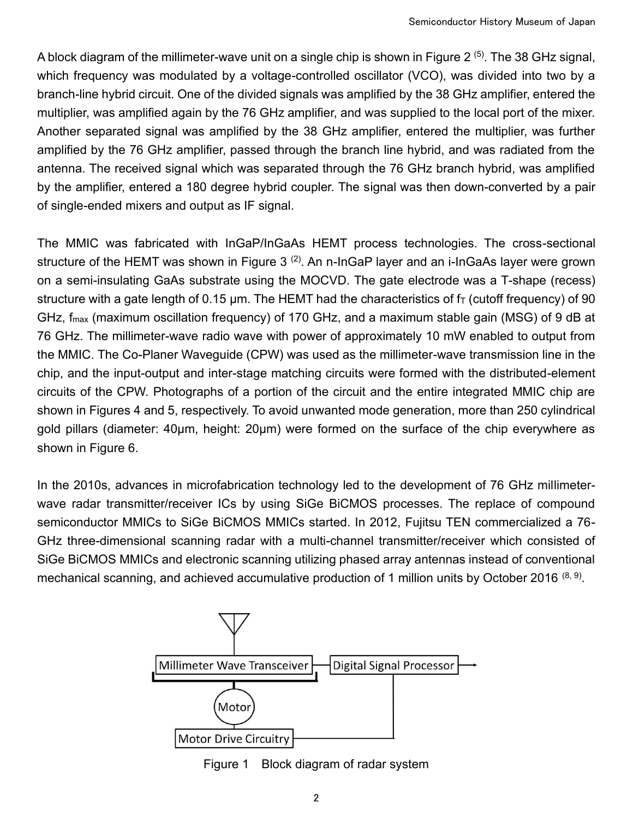A block diagram of the millimeter-wave unit on a single chip is shown in Figure 2  $\,^{(5)}$ . The 38 GHz signal, which frequency was modulated by a voltage-controlled oscillator (VCO), was divided into two by a branch-line hybrid circuit. One of the divided signals was amplified by the 38 GHz amplifier, entered the multiplier, was amplified again by the 76 GHz amplifier, and was supplied to the local port of the mixer. Another separated signal was amplified by the 38 GHz amplifier, entered the multiplier, was further amplified by the 76 GHz amplifier, passed through the branch line hybrid, and was radiated from the antenna. The received signal which was separated through the 76 GHz branch hybrid, was amplified by the amplifier, entered a 180 degree hybrid coupler. The signal was then down-converted by a pair of single-ended mixers and output as IF signal.

The MMIC was fabricated with InGaP/InGaAs HEMT process technologies. The cross-sectional structure of the HEMT was shown in Figure 3  $^{(2)}$ . An n-InGaP layer and an i-InGaAs layer were grown on a semi-insulating GaAs substrate using the MOCVD. The gate electrode was a T-shape (recess) structure with a gate length of 0.15  $\mu$ m. The HEMT had the characteristics of  $f<sub>T</sub>$  (cutoff frequency) of 90 GHz, fmax (maximum oscillation frequency) of 170 GHz, and a maximum stable gain (MSG) of 9 dB at 76 GHz. The millimeter-wave radio wave with power of approximately 10 mW enabled to output from the MMIC. The Co-Planer Waveguide (CPW) was used as the millimeter-wave transmission line in the chip, and the input-output and inter-stage matching circuits were formed with the distributed-element circuits of the CPW. Photographs of a portion of the circuit and the entire integrated MMIC chip are shown in Figures 4 and 5, respectively. To avoid unwanted mode generation, more than 250 cylindrical gold pillars (diameter: 40µm, height: 20µm) were formed on the surface of the chip everywhere as shown in Figure 6.

In the 2010s, advances in microfabrication technology led to the development of 76 GHz millimeterwave radar transmitter/receiver ICs by using SiGe BiCMOS processes. The replace of compound semiconductor MMICs to SiGe BiCMOS MMICs started. In 2012, Fujitsu TEN commercialized a 76- GHz three-dimensional scanning radar with a multi-channel transmitter/receiver which consisted of SiGe BiCMOS MMICs and electronic scanning utilizing phased array antennas instead of conventional mechanical scanning, and achieved accumulative production of 1 million units by October 2016  $^{(8,\,9)}$ .



Figure 1 Block diagram of radar system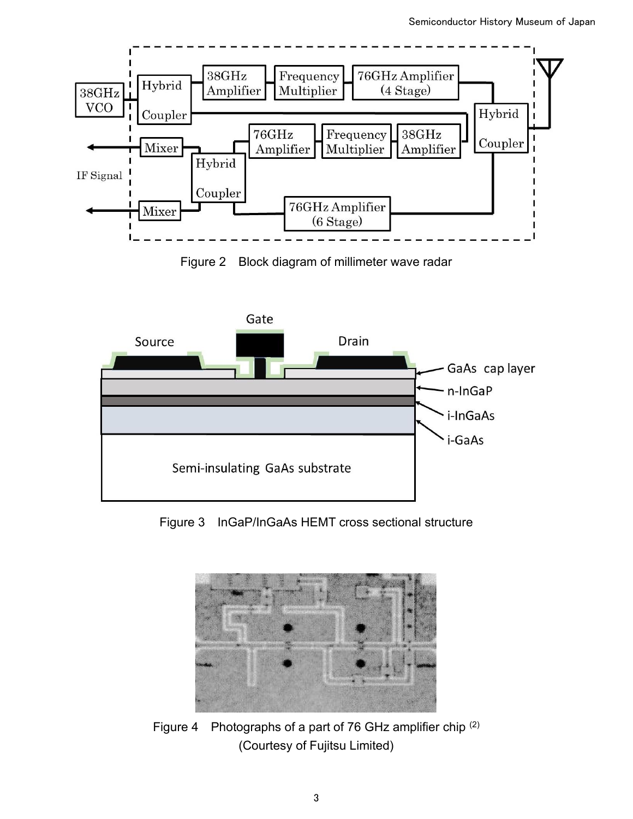

Figure 2 Block diagram of millimeter wave radar



Figure 3 InGaP/InGaAs HEMT cross sectional structure



Figure 4 Photographs of a part of 76 GHz amplifier chip (2) (Courtesy of Fujitsu Limited)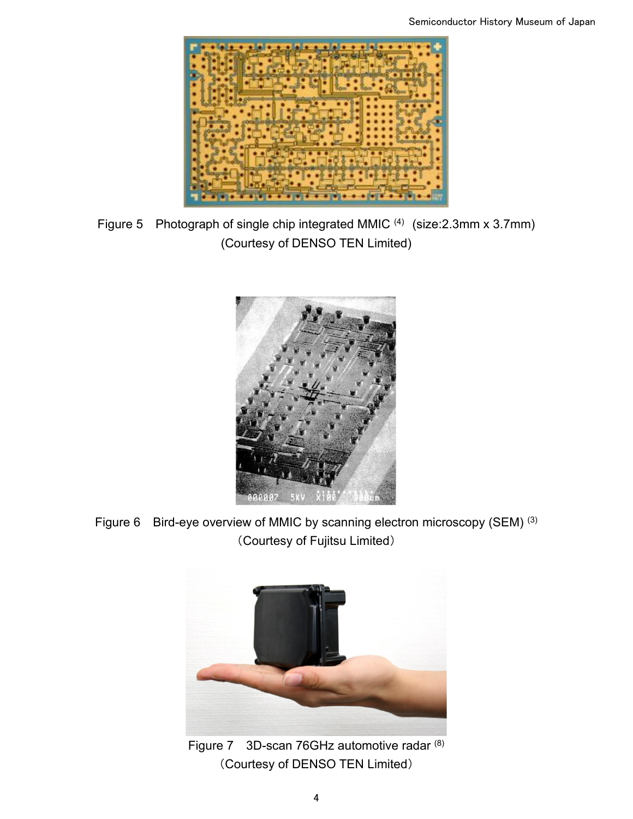

Figure 5 Photograph of single chip integrated MMIC  $(4)$  (size: 2.3mm x 3.7mm) (Courtesy of DENSO TEN Limited)



Figure 6 Bird-eye overview of MMIC by scanning electron microscopy (SEM) (3) (Courtesy of Fujitsu Limited)



Figure 7 3D-scan 76GHz automotive radar (8) (Courtesy of DENSO TEN Limited)